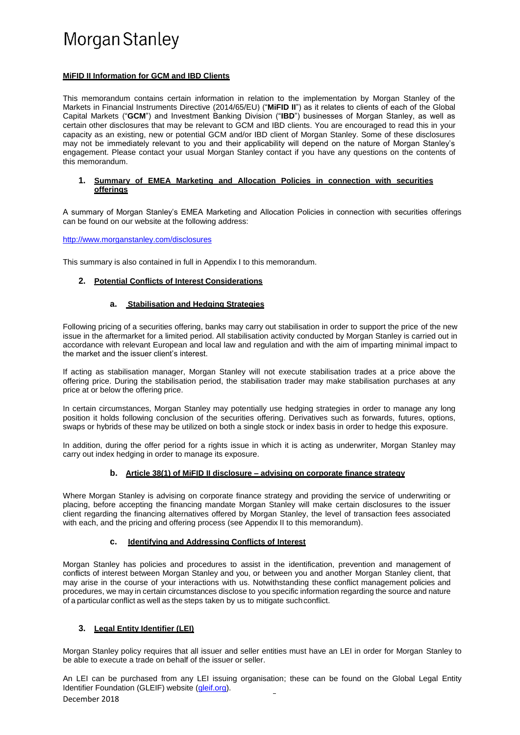### **MiFID II Information for GCM and IBD Clients**

This memorandum contains certain information in relation to the implementation by Morgan Stanley of the Markets in Financial Instruments Directive (2014/65/EU) ("**MiFID II**") as it relates to clients of each of the Global Capital Markets ("**GCM**") and Investment Banking Division ("**IBD**") businesses of Morgan Stanley, as well as certain other disclosures that may be relevant to GCM and IBD clients. You are encouraged to read this in your capacity as an existing, new or potential GCM and/or IBD client of Morgan Stanley. Some of these disclosures may not be immediately relevant to you and their applicability will depend on the nature of Morgan Stanley's engagement. Please contact your usual Morgan Stanley contact if you have any questions on the contents of this memorandum.

### **1. Summary of EMEA Marketing and Allocation Policies in connection with securities offerings**

A summary of Morgan Stanley's EMEA Marketing and Allocation Policies in connection with securities offerings can be found on our website at the following address:

<http://www.morganstanley.com/disclosures>

This summary is also contained in full in Appendix I to this memorandum.

# **2. Potential Conflicts of Interest Considerations**

# **a. Stabilisation and Hedging Strategies**

Following pricing of a securities offering, banks may carry out stabilisation in order to support the price of the new issue in the aftermarket for a limited period. All stabilisation activity conducted by Morgan Stanley is carried out in accordance with relevant European and local law and regulation and with the aim of imparting minimal impact to the market and the issuer client's interest.

If acting as stabilisation manager, Morgan Stanley will not execute stabilisation trades at a price above the offering price. During the stabilisation period, the stabilisation trader may make stabilisation purchases at any price at or below the offering price.

In certain circumstances, Morgan Stanley may potentially use hedging strategies in order to manage any long position it holds following conclusion of the securities offering. Derivatives such as forwards, futures, options, swaps or hybrids of these may be utilized on both a single stock or index basis in order to hedge this exposure.

In addition, during the offer period for a rights issue in which it is acting as underwriter, Morgan Stanley may carry out index hedging in order to manage its exposure.

# **b. Article 38(1) of MiFID II disclosure – advising on corporate finance strategy**

Where Morgan Stanley is advising on corporate finance strategy and providing the service of underwriting or placing, before accepting the financing mandate Morgan Stanley will make certain disclosures to the issuer client regarding the financing alternatives offered by Morgan Stanley, the level of transaction fees associated with each, and the pricing and offering process (see Appendix II to this memorandum).

# **c. Identifying and Addressing Conflicts of Interest**

Morgan Stanley has policies and procedures to assist in the identification, prevention and management of conflicts of interest between Morgan Stanley and you, or between you and another Morgan Stanley client, that may arise in the course of your interactions with us. Notwithstanding these conflict management policies and procedures, we may in certain circumstances disclose to you specific information regarding the source and nature of a particular conflict as well as the steps taken by us to mitigate suchconflict.

# **3. Legal Entity Identifier (LEI)**

Morgan Stanley policy requires that all issuer and seller entities must have an LEI in order for Morgan Stanley to be able to execute a trade on behalf of the issuer or seller.

December 2018 An LEI can be purchased from any LEI issuing organisation; these can be found on the Global Legal Entity Identifier Foundation (GLEIF) website [\(gleif.org\)](http://gleif.org/).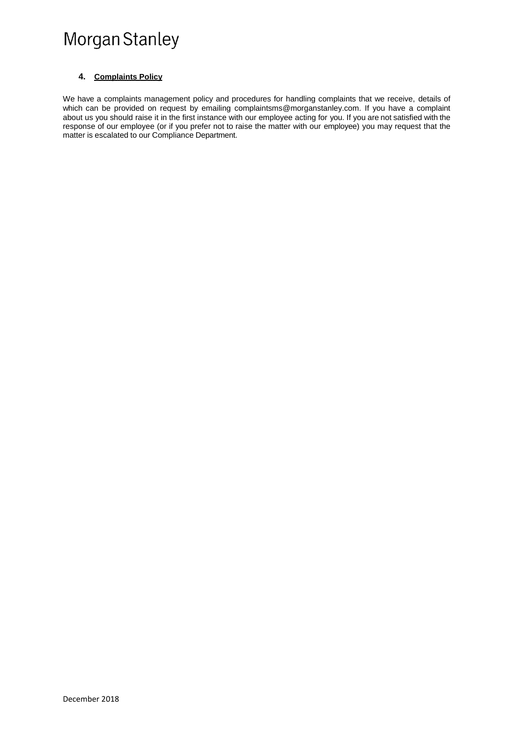# **4. Complaints Policy**

We have a complaints management policy and procedures for handling complaints that we receive, details of which can be provided on request by emailing [complaintsms@morganstanley.com.](mailto:complaintsms@morganstanley.com) If you have a complaint about us you should raise it in the first instance with our employee acting for you. If you are not satisfied with the response of our employee (or if you prefer not to raise the matter with our employee) you may request that the matter is escalated to our Compliance Department.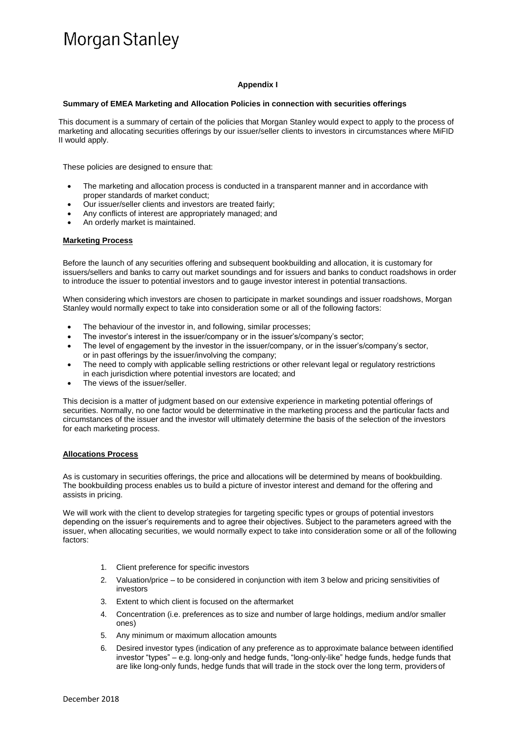# **Appendix I**

#### **Summary of EMEA Marketing and Allocation Policies in connection with securities offerings**

This document is a summary of certain of the policies that Morgan Stanley would expect to apply to the process of marketing and allocating securities offerings by our issuer/seller clients to investors in circumstances where MiFID II would apply.

These policies are designed to ensure that:

- The marketing and allocation process is conducted in a transparent manner and in accordance with proper standards of market conduct;
- Our issuer/seller clients and investors are treated fairly;
- Any conflicts of interest are appropriately managed; and
- An orderly market is maintained.

### **Marketing Process**

Before the launch of any securities offering and subsequent bookbuilding and allocation, it is customary for issuers/sellers and banks to carry out market soundings and for issuers and banks to conduct roadshows in order to introduce the issuer to potential investors and to gauge investor interest in potential transactions.

When considering which investors are chosen to participate in market soundings and issuer roadshows, Morgan Stanley would normally expect to take into consideration some or all of the following factors:

- The behaviour of the investor in, and following, similar processes;
- The investor's interest in the issuer/company or in the issuer's/company's sector;
- The level of engagement by the investor in the issuer/company, or in the issuer's/company's sector, or in past offerings by the issuer/involving the company;
- The need to comply with applicable selling restrictions or other relevant legal or regulatory restrictions in each jurisdiction where potential investors are located; and
- The views of the issuer/seller.

This decision is a matter of judgment based on our extensive experience in marketing potential offerings of securities. Normally, no one factor would be determinative in the marketing process and the particular facts and circumstances of the issuer and the investor will ultimately determine the basis of the selection of the investors for each marketing process.

### **Allocations Process**

As is customary in securities offerings, the price and allocations will be determined by means of bookbuilding. The bookbuilding process enables us to build a picture of investor interest and demand for the offering and assists in pricing.

We will work with the client to develop strategies for targeting specific types or groups of potential investors depending on the issuer's requirements and to agree their objectives. Subject to the parameters agreed with the issuer, when allocating securities, we would normally expect to take into consideration some or all of the following factors:

- 1. Client preference for specific investors
- 2. Valuation/price to be considered in conjunction with item 3 below and pricing sensitivities of investors
- 3. Extent to which client is focused on the aftermarket
- 4. Concentration (i.e. preferences as to size and number of large holdings, medium and/or smaller ones)
- 5. Any minimum or maximum allocation amounts
- 6. Desired investor types (indication of any preference as to approximate balance between identified investor "types" – e.g. long-only and hedge funds, "long-only-like" hedge funds, hedge funds that are like long-only funds, hedge funds that will trade in the stock over the long term, providers of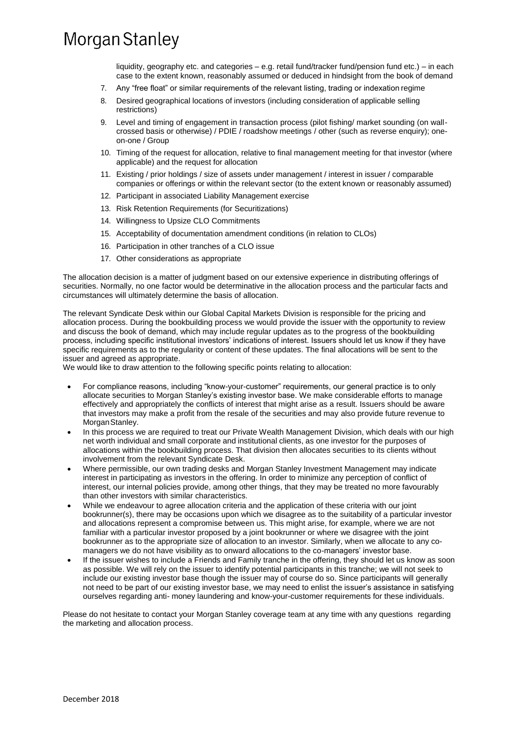liquidity, geography etc. and categories – e.g. retail fund/tracker fund/pension fund etc.) – in each case to the extent known, reasonably assumed or deduced in hindsight from the book of demand

- 7. Any "free float" or similar requirements of the relevant listing, trading or indexation regime
- 8. Desired geographical locations of investors (including consideration of applicable selling restrictions)
- 9. Level and timing of engagement in transaction process (pilot fishing/ market sounding (on wallcrossed basis or otherwise) / PDIE / roadshow meetings / other (such as reverse enquiry); oneon-one / Group
- 10. Timing of the request for allocation, relative to final management meeting for that investor (where applicable) and the request for allocation
- 11. Existing / prior holdings / size of assets under management / interest in issuer / comparable companies or offerings or within the relevant sector (to the extent known or reasonably assumed)
- 12. Participant in associated Liability Management exercise
- 13. Risk Retention Requirements (for Securitizations)
- 14. Willingness to Upsize CLO Commitments
- 15. Acceptability of documentation amendment conditions (in relation to CLOs)
- 16. Participation in other tranches of a CLO issue
- 17. Other considerations as appropriate

The allocation decision is a matter of judgment based on our extensive experience in distributing offerings of securities. Normally, no one factor would be determinative in the allocation process and the particular facts and circumstances will ultimately determine the basis of allocation.

The relevant Syndicate Desk within our Global Capital Markets Division is responsible for the pricing and allocation process. During the bookbuilding process we would provide the issuer with the opportunity to review and discuss the book of demand, which may include regular updates as to the progress of the bookbuilding process, including specific institutional investors' indications of interest. Issuers should let us know if they have specific requirements as to the regularity or content of these updates. The final allocations will be sent to the issuer and agreed as appropriate.

We would like to draw attention to the following specific points relating to allocation:

- For compliance reasons, including "know-your-customer" requirements, our general practice is to only allocate securities to Morgan Stanley's existing investor base. We make considerable efforts to manage effectively and appropriately the conflicts of interest that might arise as a result. Issuers should be aware that investors may make a profit from the resale of the securities and may also provide future revenue to MorganStanley.
- In this process we are required to treat our Private Wealth Management Division, which deals with our high net worth individual and small corporate and institutional clients, as one investor for the purposes of allocations within the bookbuilding process. That division then allocates securities to its clients without involvement from the relevant Syndicate Desk.
- Where permissible, our own trading desks and Morgan Stanley Investment Management may indicate interest in participating as investors in the offering. In order to minimize any perception of conflict of interest, our internal policies provide, among other things, that they may be treated no more favourably than other investors with similar characteristics.
- While we endeavour to agree allocation criteria and the application of these criteria with our joint bookrunner(s), there may be occasions upon which we disagree as to the suitability of a particular investor and allocations represent a compromise between us. This might arise, for example, where we are not familiar with a particular investor proposed by a joint bookrunner or where we disagree with the joint bookrunner as to the appropriate size of allocation to an investor. Similarly, when we allocate to any comanagers we do not have visibility as to onward allocations to the co-managers' investor base.
- If the issuer wishes to include a Friends and Family tranche in the offering, they should let us know as soon as possible. We will rely on the issuer to identify potential participants in this tranche; we will not seek to include our existing investor base though the issuer may of course do so. Since participants will generally not need to be part of our existing investor base, we may need to enlist the issuer's assistance in satisfying ourselves regarding anti- money laundering and know-your-customer requirements for these individuals.

Please do not hesitate to contact your Morgan Stanley coverage team at any time with any questions regarding the marketing and allocation process.